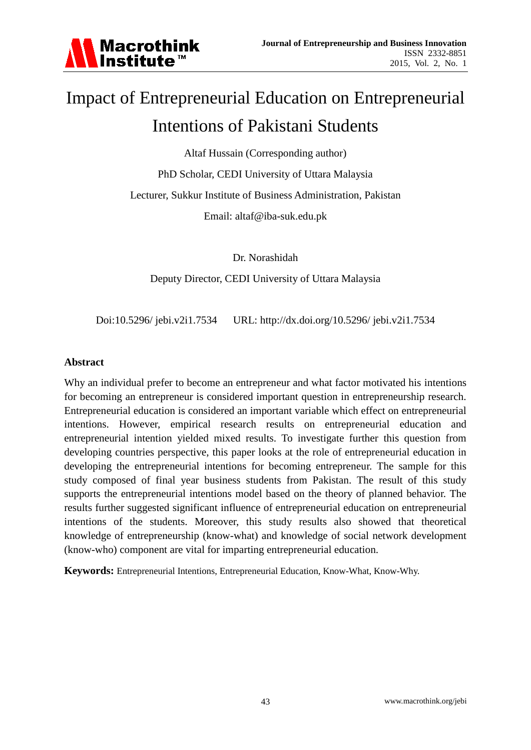

# Impact of Entrepreneurial Education on Entrepreneurial Intentions of Pakistani Students

Altaf Hussain (Corresponding author)

PhD Scholar, CEDI University of Uttara Malaysia

Lecturer, Sukkur Institute of Business Administration, Pakistan

Email: altaf@iba-suk.edu.pk

Dr. Norashidah

Deputy Director, CEDI University of Uttara Malaysia

Doi:10.5296/ jebi.v2i1.7534 URL: http://dx.doi.org/10.5296/ jebi.v2i1.7534

#### **Abstract**

Why an individual prefer to become an entrepreneur and what factor motivated his intentions for becoming an entrepreneur is considered important question in entrepreneurship research. Entrepreneurial education is considered an important variable which effect on entrepreneurial intentions. However, empirical research results on entrepreneurial education and entrepreneurial intention yielded mixed results. To investigate further this question from developing countries perspective, this paper looks at the role of entrepreneurial education in developing the entrepreneurial intentions for becoming entrepreneur. The sample for this study composed of final year business students from Pakistan. The result of this study supports the entrepreneurial intentions model based on the theory of planned behavior. The results further suggested significant influence of entrepreneurial education on entrepreneurial intentions of the students. Moreover, this study results also showed that theoretical knowledge of entrepreneurship (know-what) and knowledge of social network development (know-who) component are vital for imparting entrepreneurial education.

**Keywords:** Entrepreneurial Intentions, Entrepreneurial Education, Know-What, Know-Why.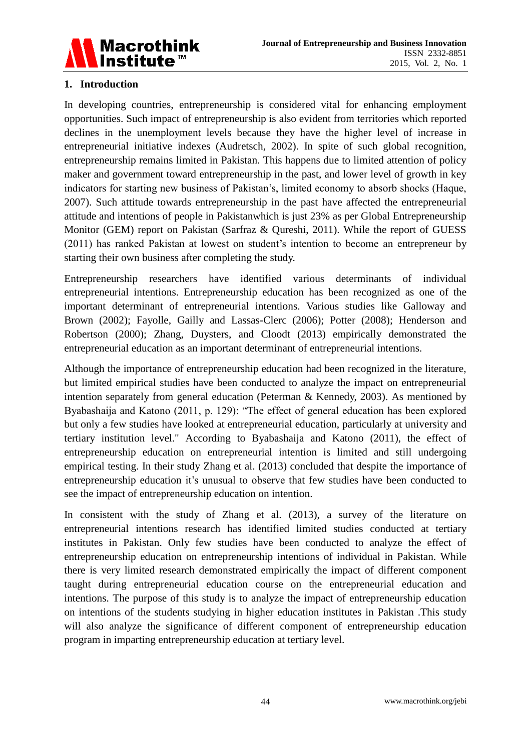

# **1. Introduction**

In developing countries, entrepreneurship is considered vital for enhancing employment opportunities. Such impact of entrepreneurship is also evident from territories which reported declines in the unemployment levels because they have the higher level of increase in entrepreneurial initiative indexes (Audretsch, 2002). In spite of such global recognition, entrepreneurship remains limited in Pakistan. This happens due to limited attention of policy maker and government toward entrepreneurship in the past, and lower level of growth in key indicators for starting new business of Pakistan's, limited economy to absorb shocks (Haque, 2007). Such attitude towards entrepreneurship in the past have affected the entrepreneurial attitude and intentions of people in Pakistanwhich is just 23% as per Global Entrepreneurship Monitor (GEM) report on Pakistan (Sarfraz & Qureshi, 2011). While the report of GUESS (2011) has ranked Pakistan at lowest on student's intention to become an entrepreneur by starting their own business after completing the study.

Entrepreneurship researchers have identified various determinants of individual entrepreneurial intentions. Entrepreneurship education has been recognized as one of the important determinant of entrepreneurial intentions. Various studies like Galloway and Brown (2002); Fayolle, Gailly and Lassas-Clerc (2006); Potter (2008); Henderson and Robertson (2000); Zhang, Duysters, and Cloodt (2013) empirically demonstrated the entrepreneurial education as an important determinant of entrepreneurial intentions.

Although the importance of entrepreneurship education had been recognized in the literature, but limited empirical studies have been conducted to analyze the impact on entrepreneurial intention separately from general education (Peterman & Kennedy, 2003). As mentioned by Byabashaija and Katono (2011, p. 129): "The effect of general education has been explored but only a few studies have looked at entrepreneurial education, particularly at university and tertiary institution level." According to Byabashaija and Katono (2011), the effect of entrepreneurship education on entrepreneurial intention is limited and still undergoing empirical testing. In their study Zhang et al. (2013) concluded that despite the importance of entrepreneurship education it's unusual to observe that few studies have been conducted to see the impact of entrepreneurship education on intention.

In consistent with the study of Zhang et al. (2013), a survey of the literature on entrepreneurial intentions research has identified limited studies conducted at tertiary institutes in Pakistan. Only few studies have been conducted to analyze the effect of entrepreneurship education on entrepreneurship intentions of individual in Pakistan. While there is very limited research demonstrated empirically the impact of different component taught during entrepreneurial education course on the entrepreneurial education and intentions. The purpose of this study is to analyze the impact of entrepreneurship education on intentions of the students studying in higher education institutes in Pakistan .This study will also analyze the significance of different component of entrepreneurship education program in imparting entrepreneurship education at tertiary level.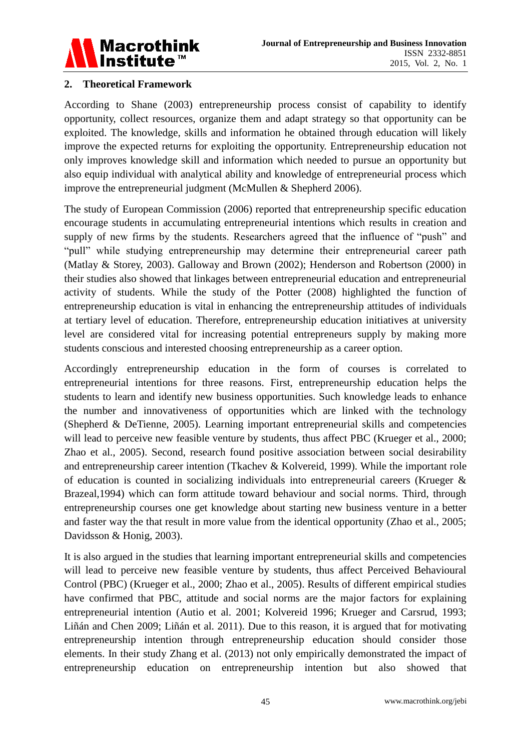

### **2. Theoretical Framework**

According to Shane (2003) entrepreneurship process consist of capability to identify opportunity, collect resources, organize them and adapt strategy so that opportunity can be exploited. The knowledge, skills and information he obtained through education will likely improve the expected returns for exploiting the opportunity. Entrepreneurship education not only improves knowledge skill and information which needed to pursue an opportunity but also equip individual with analytical ability and knowledge of entrepreneurial process which improve the entrepreneurial judgment (McMullen & Shepherd 2006).

The study of European Commission (2006) reported that entrepreneurship specific education encourage students in accumulating entrepreneurial intentions which results in creation and supply of new firms by the students. Researchers agreed that the influence of "push" and "pull" while studying entrepreneurship may determine their entrepreneurial career path (Matlay & Storey, 2003). Galloway and Brown (2002); Henderson and Robertson (2000) in their studies also showed that linkages between entrepreneurial education and entrepreneurial activity of students. While the study of the Potter (2008) highlighted the function of entrepreneurship education is vital in enhancing the entrepreneurship attitudes of individuals at tertiary level of education. Therefore, entrepreneurship education initiatives at university level are considered vital for increasing potential entrepreneurs supply by making more students conscious and interested choosing entrepreneurship as a career option.

Accordingly entrepreneurship education in the form of courses is correlated to entrepreneurial intentions for three reasons. First, entrepreneurship education helps the students to learn and identify new business opportunities. Such knowledge leads to enhance the number and innovativeness of opportunities which are linked with the technology (Shepherd & DeTienne, 2005). Learning important entrepreneurial skills and competencies will lead to perceive new feasible venture by students, thus affect PBC (Krueger et al., 2000; Zhao et al., 2005). Second, research found positive association between social desirability and entrepreneurship career intention (Tkachev & Kolvereid, 1999). While the important role of education is counted in socializing individuals into entrepreneurial careers (Krueger & Brazeal,1994) which can form attitude toward behaviour and social norms. Third, through entrepreneurship courses one get knowledge about starting new business venture in a better and faster way the that result in more value from the identical opportunity (Zhao et al., 2005; Davidsson & Honig, 2003).

It is also argued in the studies that learning important entrepreneurial skills and competencies will lead to perceive new feasible venture by students, thus affect Perceived Behavioural Control (PBC) (Krueger et al., 2000; Zhao et al., 2005). Results of different empirical studies have confirmed that PBC, attitude and social norms are the major factors for explaining entrepreneurial intention (Autio et al. 2001; Kolvereid 1996; Krueger and Carsrud, 1993; Liñán and Chen 2009; Liñán et al. 2011). Due to this reason, it is argued that for motivating entrepreneurship intention through entrepreneurship education should consider those elements. In their study Zhang et al. (2013) not only empirically demonstrated the impact of entrepreneurship education on entrepreneurship intention but also showed that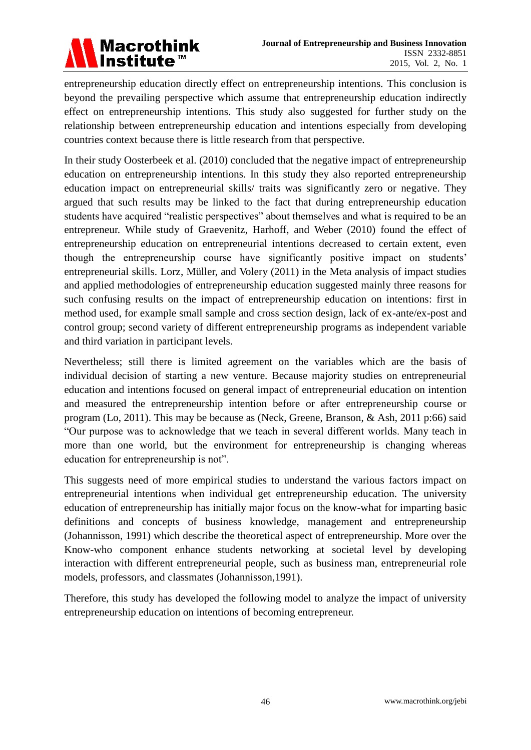

entrepreneurship education directly effect on entrepreneurship intentions. This conclusion is beyond the prevailing perspective which assume that entrepreneurship education indirectly effect on entrepreneurship intentions. This study also suggested for further study on the relationship between entrepreneurship education and intentions especially from developing countries context because there is little research from that perspective.

In their study Oosterbeek et al. (2010) concluded that the negative impact of entrepreneurship education on entrepreneurship intentions. In this study they also reported entrepreneurship education impact on entrepreneurial skills/ traits was significantly zero or negative. They argued that such results may be linked to the fact that during entrepreneurship education students have acquired "realistic perspectives" about themselves and what is required to be an entrepreneur. While study of Graevenitz, Harhoff, and Weber (2010) found the effect of entrepreneurship education on entrepreneurial intentions decreased to certain extent, even though the entrepreneurship course have significantly positive impact on students' entrepreneurial skills. Lorz, Müller, and Volery (2011) in the Meta analysis of impact studies and applied methodologies of entrepreneurship education suggested mainly three reasons for such confusing results on the impact of entrepreneurship education on intentions: first in method used, for example small sample and cross section design, lack of ex-ante/ex-post and control group; second variety of different entrepreneurship programs as independent variable and third variation in participant levels.

Nevertheless; still there is limited agreement on the variables which are the basis of individual decision of starting a new venture. Because majority studies on entrepreneurial education and intentions focused on general impact of entrepreneurial education on intention and measured the entrepreneurship intention before or after entrepreneurship course or program (Lo, 2011). This may be because as (Neck, Greene, Branson, & Ash, 2011 p:66) said "Our purpose was to acknowledge that we teach in several different worlds. Many teach in more than one world, but the environment for entrepreneurship is changing whereas education for entrepreneurship is not".

This suggests need of more empirical studies to understand the various factors impact on entrepreneurial intentions when individual get entrepreneurship education. The university education of entrepreneurship has initially major focus on the know-what for imparting basic definitions and concepts of business knowledge, management and entrepreneurship (Johannisson, 1991) which describe the theoretical aspect of entrepreneurship. More over the Know-who component enhance students networking at societal level by developing interaction with different entrepreneurial people, such as business man, entrepreneurial role models, professors, and classmates (Johannisson,1991).

Therefore, this study has developed the following model to analyze the impact of university entrepreneurship education on intentions of becoming entrepreneur.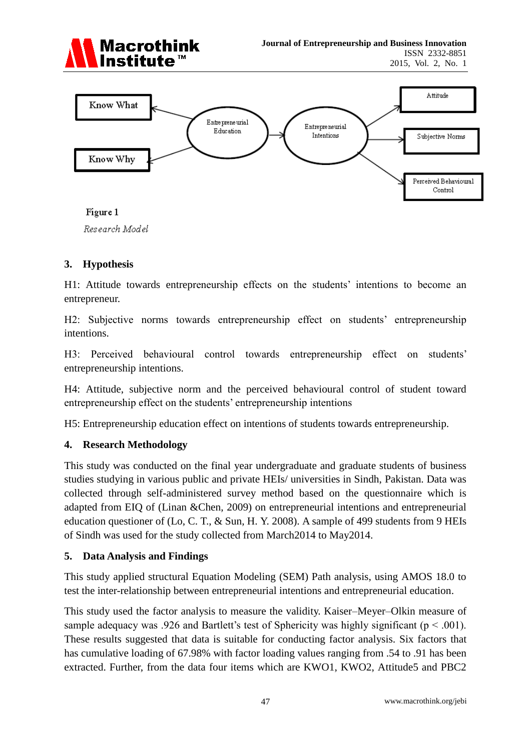



Figure 1 Research Model

### **3. Hypothesis**

H1: Attitude towards entrepreneurship effects on the students' intentions to become an entrepreneur.

H2: Subjective norms towards entrepreneurship effect on students' entrepreneurship intentions.

H3: Perceived behavioural control towards entrepreneurship effect on students' entrepreneurship intentions.

H4: Attitude, subjective norm and the perceived behavioural control of student toward entrepreneurship effect on the students' entrepreneurship intentions

H5: Entrepreneurship education effect on intentions of students towards entrepreneurship.

### **4. Research Methodology**

This study was conducted on the final year undergraduate and graduate students of business studies studying in various public and private HEIs/ universities in Sindh, Pakistan. Data was collected through self-administered survey method based on the questionnaire which is adapted from EIQ of (Linan &Chen, 2009) on entrepreneurial intentions and entrepreneurial education questioner of (Lo, C. T., & Sun, H. Y. 2008). A sample of 499 students from 9 HEIs of Sindh was used for the study collected from March2014 to May2014.

### **5. Data Analysis and Findings**

This study applied structural Equation Modeling (SEM) Path analysis, using AMOS 18.0 to test the inter-relationship between entrepreneurial intentions and entrepreneurial education.

This study used the factor analysis to measure the validity. Kaiser–Meyer–Olkin measure of sample adequacy was .926 and Bartlett's test of Sphericity was highly significant ( $p < .001$ ). These results suggested that data is suitable for conducting factor analysis. Six factors that has cumulative loading of 67.98% with factor loading values ranging from .54 to .91 has been extracted. Further, from the data four items which are KWO1, KWO2, Attitude5 and PBC2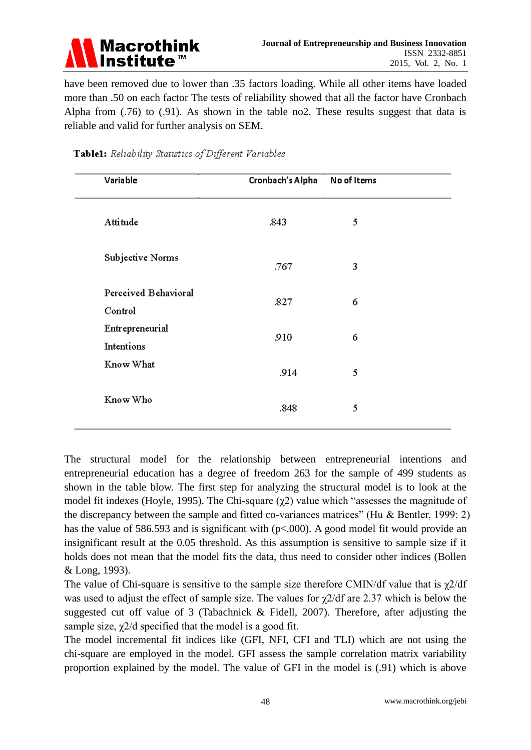

have been removed due to lower than .35 factors loading. While all other items have loaded more than .50 on each factor The tests of reliability showed that all the factor have Cronbach Alpha from (.76) to (.91). As shown in the table no2. These results suggest that data is reliable and valid for further analysis on SEM.

| Variable                        | Cronbach's Alpha | No of Items |  |
|---------------------------------|------------------|-------------|--|
| Attitude                        | .843             | 5           |  |
| Subjective Norms                | .767             | 3           |  |
| Perceived Behavioral<br>Control | .827             | 6           |  |
| Entrepreneurial<br>Intentions   | .910             | 6           |  |
| Know What                       | .914             | 5           |  |
| Know Who                        | .848             | 5           |  |

# Table1: Reliability Statistics of Different Variables

The structural model for the relationship between entrepreneurial intentions and entrepreneurial education has a degree of freedom 263 for the sample of 499 students as shown in the table blow. The first step for analyzing the structural model is to look at the model fit indexes (Hoyle, 1995). The Chi-square  $(\chi^2)$  value which "assesses the magnitude of the discrepancy between the sample and fitted co-variances matrices" (Hu & Bentler, 1999: 2) has the value of 586.593 and is significant with  $(p<.000)$ . A good model fit would provide an insignificant result at the 0.05 threshold. As this assumption is sensitive to sample size if it holds does not mean that the model fits the data, thus need to consider other indices (Bollen & Long, 1993).

The value of Chi-square is sensitive to the sample size therefore CMIN/df value that is  $\chi$ 2/df was used to adjust the effect of sample size. The values for  $\chi$ 2/df are 2.37 which is below the suggested cut off value of 3 (Tabachnick & Fidell, 2007). Therefore, after adjusting the sample size,  $\chi$ 2/d specified that the model is a good fit.

The model incremental fit indices like (GFI, NFI, CFI and TLI) which are not using the chi-square are employed in the model. GFI assess the sample correlation matrix variability proportion explained by the model. The value of GFI in the model is (.91) which is above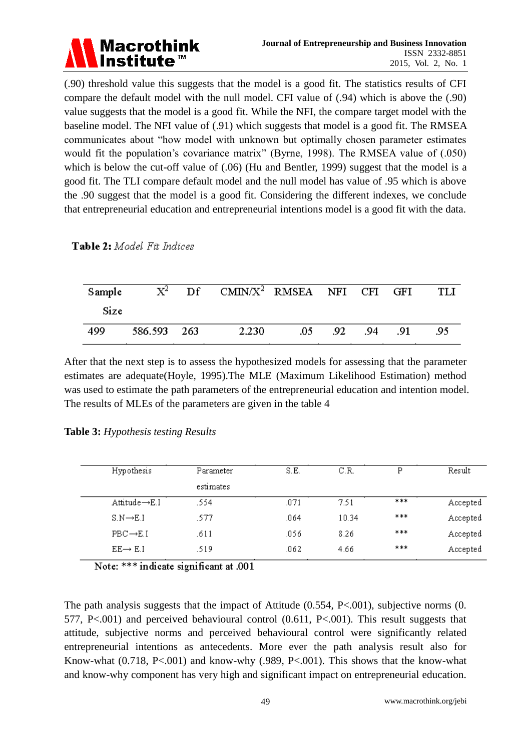

(.90) threshold value this suggests that the model is a good fit. The statistics results of CFI compare the default model with the null model. CFI value of (.94) which is above the (.90) value suggests that the model is a good fit. While the NFI, the compare target model with the baseline model. The NFI value of (.91) which suggests that model is a good fit. The RMSEA communicates about "how model with unknown but optimally chosen parameter estimates would fit the population's covariance matrix" (Byrne, 1998). The RMSEA value of (.050) which is below the cut-off value of  $(.06)$  (Hu and Bentler, 1999) suggest that the model is a good fit. The TLI compare default model and the null model has value of .95 which is above the .90 suggest that the model is a good fit. Considering the different indexes, we conclude that entrepreneurial education and entrepreneurial intentions model is a good fit with the data.

Table 2: Model Fit Indices

| Sample |             | $X^2$ Df CMIN/ $X^2$ RMSEA NFI CFI GFI |      |     |     |     | TL J |
|--------|-------------|----------------------------------------|------|-----|-----|-----|------|
| Size   |             |                                        |      |     |     |     |      |
| 499    | 586.593 263 | 2.230                                  | .05. | .92 | .94 | .91 | -95  |

After that the next step is to assess the hypothesized models for assessing that the parameter estimates are adequate(Hoyle, 1995).The MLE (Maximum Likelihood Estimation) method was used to estimate the path parameters of the entrepreneurial education and intention model. The results of MLEs of the parameters are given in the table 4

|  |  | Table 3: Hypothesis testing Results |  |
|--|--|-------------------------------------|--|
|  |  |                                     |  |

| Hypothesis                 | Parameter | S.E. | C.R.  | Ρ   | Result   |
|----------------------------|-----------|------|-------|-----|----------|
|                            | estimates |      |       |     |          |
| Attitude $\rightarrow$ E.I | .554      | .071 | 7.51  | *** | Accepted |
| $S.N \rightarrow E.I$      | .577.     | .064 | 10.34 | *** | Accepted |
| $PBC \rightarrow E.I$      | .611      | .056 | 8.26  | *** | Accepted |
| $EE \rightarrow E.I$       | .519      | .062 | 4.66  | *** | Accepted |
|                            |           |      |       |     |          |

Note: \*\*\* indicate significant at .001

The path analysis suggests that the impact of Attitude  $(0.554, P<.001)$ , subjective norms  $(0.554, P<.001)$ 577, P<.001) and perceived behavioural control (0.611, P<.001). This result suggests that attitude, subjective norms and perceived behavioural control were significantly related entrepreneurial intentions as antecedents. More ever the path analysis result also for Know-what (0.718, P<.001) and know-why (.989, P<.001). This shows that the know-what and know-why component has very high and significant impact on entrepreneurial education.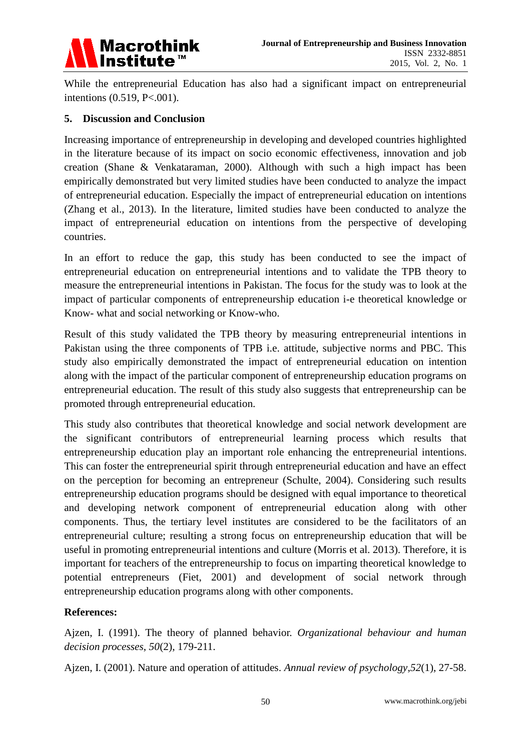

While the entrepreneurial Education has also had a significant impact on entrepreneurial intentions (0.519, P<.001).

#### **5. Discussion and Conclusion**

Increasing importance of entrepreneurship in developing and developed countries highlighted in the literature because of its impact on socio economic effectiveness, innovation and job creation (Shane & Venkataraman, 2000). Although with such a high impact has been empirically demonstrated but very limited studies have been conducted to analyze the impact of entrepreneurial education. Especially the impact of entrepreneurial education on intentions (Zhang et al., 2013). In the literature, limited studies have been conducted to analyze the impact of entrepreneurial education on intentions from the perspective of developing countries.

In an effort to reduce the gap, this study has been conducted to see the impact of entrepreneurial education on entrepreneurial intentions and to validate the TPB theory to measure the entrepreneurial intentions in Pakistan. The focus for the study was to look at the impact of particular components of entrepreneurship education i-e theoretical knowledge or Know- what and social networking or Know-who.

Result of this study validated the TPB theory by measuring entrepreneurial intentions in Pakistan using the three components of TPB i.e. attitude, subjective norms and PBC. This study also empirically demonstrated the impact of entrepreneurial education on intention along with the impact of the particular component of entrepreneurship education programs on entrepreneurial education. The result of this study also suggests that entrepreneurship can be promoted through entrepreneurial education.

This study also contributes that theoretical knowledge and social network development are the significant contributors of entrepreneurial learning process which results that entrepreneurship education play an important role enhancing the entrepreneurial intentions. This can foster the entrepreneurial spirit through entrepreneurial education and have an effect on the perception for becoming an entrepreneur (Schulte, 2004). Considering such results entrepreneurship education programs should be designed with equal importance to theoretical and developing network component of entrepreneurial education along with other components. Thus, the tertiary level institutes are considered to be the facilitators of an entrepreneurial culture; resulting a strong focus on entrepreneurship education that will be useful in promoting entrepreneurial intentions and culture (Morris et al. 2013). Therefore, it is important for teachers of the entrepreneurship to focus on imparting theoretical knowledge to potential entrepreneurs (Fiet, 2001) and development of social network through entrepreneurship education programs along with other components.

### **References:**

Ajzen, I. (1991). The theory of planned behavior. *Organizational behaviour and human decision processes*, *50*(2), 179-211.

Ajzen, I. (2001). Nature and operation of attitudes. *Annual review of psychology*,*52*(1), 27-58.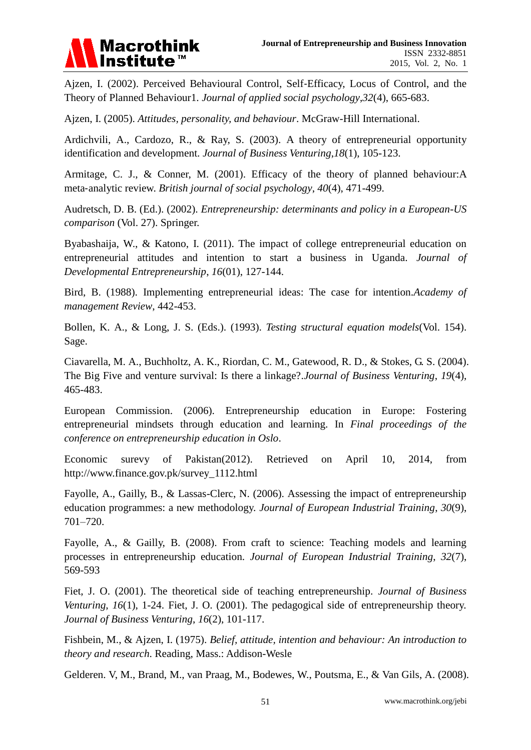

Ajzen, I. (2002). Perceived Behavioural Control, Self‐Efficacy, Locus of Control, and the Theory of Planned Behaviour1. *Journal of applied social psychology*,*32*(4), 665-683.

Ajzen, I. (2005). *Attitudes, personality, and behaviour*. McGraw-Hill International.

Ardichvili, A., Cardozo, R., & Ray, S. (2003). A theory of entrepreneurial opportunity identification and development. *Journal of Business Venturing*,*18*(1), 105-123.

Armitage, C. J., & Conner, M. (2001). Efficacy of the theory of planned behaviour:A meta‐analytic review. *British journal of social psychology*, *40*(4), 471-499.

Audretsch, D. B. (Ed.). (2002). *Entrepreneurship: determinants and policy in a European-US comparison* (Vol. 27). Springer.

Byabashaija, W., & Katono, I. (2011). The impact of college entrepreneurial education on entrepreneurial attitudes and intention to start a business in Uganda. *Journal of Developmental Entrepreneurship*, *16*(01), 127-144.

Bird, B. (1988). Implementing entrepreneurial ideas: The case for intention.*Academy of management Review*, 442-453.

Bollen, K. A., & Long, J. S. (Eds.). (1993). *Testing structural equation models*(Vol. 154). Sage.

Ciavarella, M. A., Buchholtz, A. K., Riordan, C. M., Gatewood, R. D., & Stokes, G. S. (2004). The Big Five and venture survival: Is there a linkage?.*Journal of Business Venturing*, *19*(4), 465-483.

European Commission. (2006). Entrepreneurship education in Europe: Fostering entrepreneurial mindsets through education and learning. In *Final proceedings of the conference on entrepreneurship education in Oslo*.

Economic surevy of Pakistan(2012). Retrieved on April 10, 2014, from http://www.finance.gov.pk/survey\_1112.html

Fayolle, A., Gailly, B., & Lassas-Clerc, N. (2006). Assessing the impact of entrepreneurship education programmes: a new methodology. *Journal of European Industrial Training*, *30*(9), 701–720.

Fayolle, A., & Gailly, B. (2008). From craft to science: Teaching models and learning processes in entrepreneurship education. *Journal of European Industrial Training*, *32*(7), 569-593

Fiet, J. O. (2001). The theoretical side of teaching entrepreneurship. *Journal of Business Venturing*, *16*(1), 1-24. Fiet, J. O. (2001). The pedagogical side of entrepreneurship theory. *Journal of Business Venturing*, *16*(2), 101-117.

Fishbein, M., & Ajzen, I. (1975). *Belief, attitude, intention and behaviour: An introduction to theory and research*. Reading, Mass.: Addison-Wesle

Gelderen. V, M., Brand, M., van Praag, M., Bodewes, W., Poutsma, E., & Van Gils, A. (2008).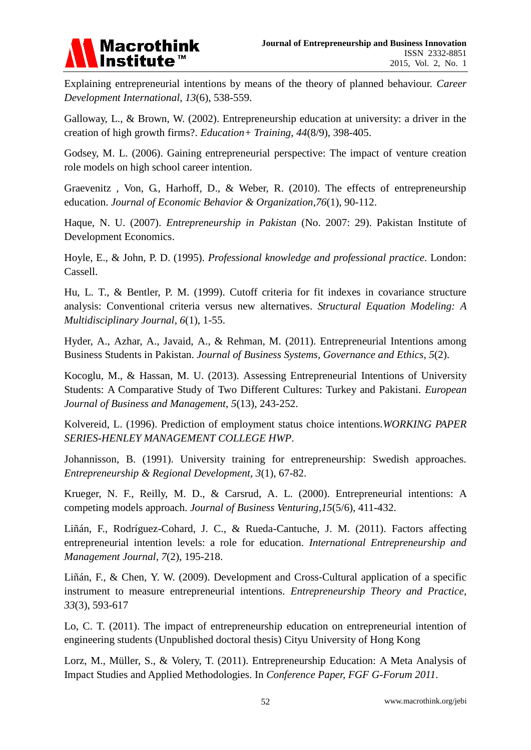

Explaining entrepreneurial intentions by means of the theory of planned behaviour. *Career Development International*, *13*(6), 538-559.

Galloway, L., & Brown, W. (2002). Entrepreneurship education at university: a driver in the creation of high growth firms?. *Education+ Training*, *44*(8/9), 398-405.

Godsey, M. L. (2006). Gaining entrepreneurial perspective: The impact of venture creation role models on high school career intention.

Graevenitz , Von, G., Harhoff, D., & Weber, R. (2010). The effects of entrepreneurship education. *Journal of Economic Behavior & Organization*,*76*(1), 90-112.

Haque, N. U. (2007). *Entrepreneurship in Pakistan* (No. 2007: 29). Pakistan Institute of Development Economics.

Hoyle, E., & John, P. D. (1995). *Professional knowledge and professional practice*. London: Cassell.

Hu, L. T., & Bentler, P. M. (1999). Cutoff criteria for fit indexes in covariance structure analysis: Conventional criteria versus new alternatives. *Structural Equation Modeling: A Multidisciplinary Journal*, *6*(1), 1-55.

Hyder, A., Azhar, A., Javaid, A., & Rehman, M. (2011). Entrepreneurial Intentions among Business Students in Pakistan. *Journal of Business Systems, Governance and Ethics*, *5*(2).

Kocoglu, M., & Hassan, M. U. (2013). Assessing Entrepreneurial Intentions of University Students: A Comparative Study of Two Different Cultures: Turkey and Pakistani. *European Journal of Business and Management*, *5*(13), 243-252.

Kolvereid, L. (1996). Prediction of employment status choice intentions.*WORKING PAPER SERIES-HENLEY MANAGEMENT COLLEGE HWP*.

Johannisson, B. (1991). University training for entrepreneurship: Swedish approaches. *Entrepreneurship & Regional Development*, *3*(1), 67-82.

Krueger, N. F., Reilly, M. D., & Carsrud, A. L. (2000). Entrepreneurial intentions: A competing models approach. *Journal of Business Venturing*,*15*(5/6), 411-432.

Liñán, F., Rodríguez-Cohard, J. C., & Rueda-Cantuche, J. M. (2011). Factors affecting entrepreneurial intention levels: a role for education. *International Entrepreneurship and Management Journal*, *7*(2), 195-218.

Liñán, F., & Chen, Y. W. (2009). Development and Cross‐Cultural application of a specific instrument to measure entrepreneurial intentions. *Entrepreneurship Theory and Practice*, *33*(3), 593-617

Lo, C. T. (2011). The impact of entrepreneurship education on entrepreneurial intention of engineering students (Unpublished doctoral thesis) Cityu University of Hong Kong

Lorz, M., Müller, S., & Volery, T. (2011). Entrepreneurship Education: A Meta Analysis of Impact Studies and Applied Methodologies. In *Conference Paper, FGF G-Forum 2011*.